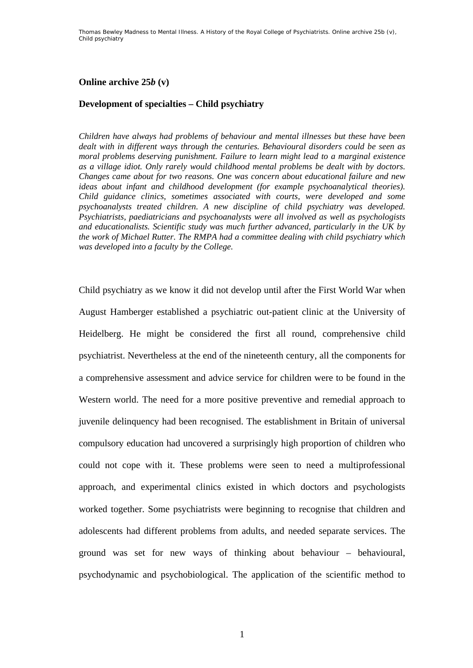## **Online archive 25***b* **(v)**

## **Development of specialties – Child psychiatry**

*Children have always had problems of behaviour and mental illnesses but these have been dealt with in different ways through the centuries. Behavioural disorders could be seen as moral problems deserving punishment. Failure to learn might lead to a marginal existence as a village idiot. Only rarely would childhood mental problems be dealt with by doctors. Changes came about for two reasons. One was concern about educational failure and new ideas about infant and childhood development (for example psychoanalytical theories). Child guidance clinics, sometimes associated with courts, were developed and some psychoanalysts treated children. A new discipline of child psychiatry was developed. Psychiatrists, paediatricians and psychoanalysts were all involved as well as psychologists and educationalists. Scientific study was much further advanced, particularly in the UK by the work of Michael Rutter. The RMPA had a committee dealing with child psychiatry which was developed into a faculty by the College.* 

Child psychiatry as we know it did not develop until after the First World War when August Hamberger established a psychiatric out-patient clinic at the University of Heidelberg. He might be considered the first all round, comprehensive child psychiatrist. Nevertheless at the end of the nineteenth century, all the components for a comprehensive assessment and advice service for children were to be found in the Western world. The need for a more positive preventive and remedial approach to juvenile delinquency had been recognised. The establishment in Britain of universal compulsory education had uncovered a surprisingly high proportion of children who could not cope with it. These problems were seen to need a multiprofessional approach, and experimental clinics existed in which doctors and psychologists worked together. Some psychiatrists were beginning to recognise that children and adolescents had different problems from adults, and needed separate services. The ground was set for new ways of thinking about behaviour – behavioural, psychodynamic and psychobiological. The application of the scientific method to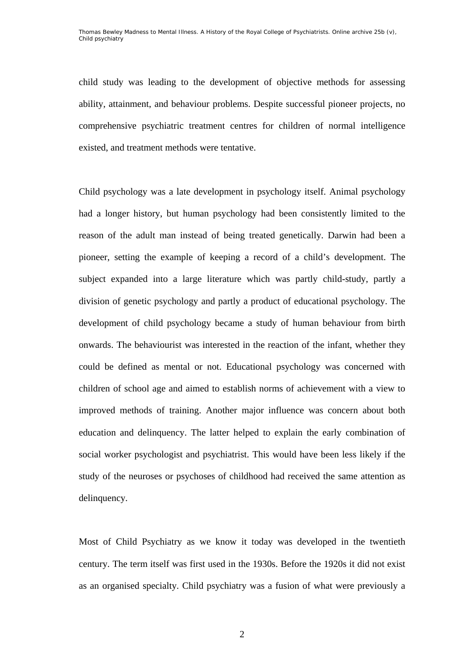child study was leading to the development of objective methods for assessing ability, attainment, and behaviour problems. Despite successful pioneer projects, no comprehensive psychiatric treatment centres for children of normal intelligence existed, and treatment methods were tentative.

Child psychology was a late development in psychology itself. Animal psychology had a longer history, but human psychology had been consistently limited to the reason of the adult man instead of being treated genetically. Darwin had been a pioneer, setting the example of keeping a record of a child's development. The subject expanded into a large literature which was partly child-study, partly a division of genetic psychology and partly a product of educational psychology. The development of child psychology became a study of human behaviour from birth onwards. The behaviourist was interested in the reaction of the infant, whether they could be defined as mental or not. Educational psychology was concerned with children of school age and aimed to establish norms of achievement with a view to improved methods of training. Another major influence was concern about both education and delinquency. The latter helped to explain the early combination of social worker psychologist and psychiatrist. This would have been less likely if the study of the neuroses or psychoses of childhood had received the same attention as delinquency.

Most of Child Psychiatry as we know it today was developed in the twentieth century. The term itself was first used in the 1930s. Before the 1920s it did not exist as an organised specialty. Child psychiatry was a fusion of what were previously a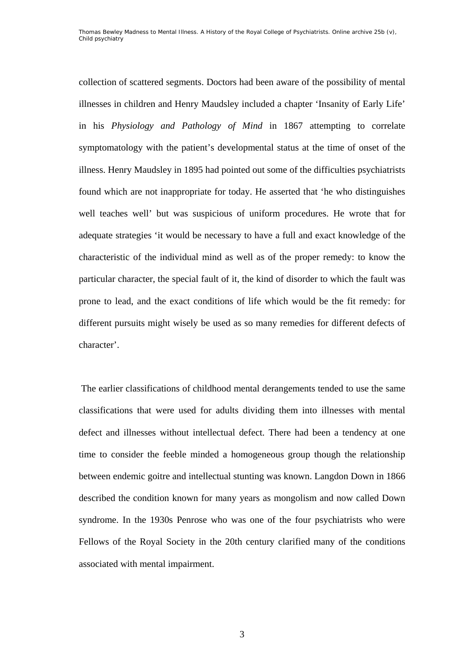collection of scattered segments. Doctors had been aware of the possibility of mental illnesses in children and Henry Maudsley included a chapter 'Insanity of Early Life' in his *Physiology and Pathology of Mind* in 1867 attempting to correlate symptomatology with the patient's developmental status at the time of onset of the illness. Henry Maudsley in 1895 had pointed out some of the difficulties psychiatrists found which are not inappropriate for today. He asserted that 'he who distinguishes well teaches well' but was suspicious of uniform procedures. He wrote that for adequate strategies 'it would be necessary to have a full and exact knowledge of the characteristic of the individual mind as well as of the proper remedy: to know the particular character, the special fault of it, the kind of disorder to which the fault was prone to lead, and the exact conditions of life which would be the fit remedy: for different pursuits might wisely be used as so many remedies for different defects of character'.

 The earlier classifications of childhood mental derangements tended to use the same classifications that were used for adults dividing them into illnesses with mental defect and illnesses without intellectual defect. There had been a tendency at one time to consider the feeble minded a homogeneous group though the relationship between endemic goitre and intellectual stunting was known. Langdon Down in 1866 described the condition known for many years as mongolism and now called Down syndrome. In the 1930s Penrose who was one of the four psychiatrists who were Fellows of the Royal Society in the 20th century clarified many of the conditions associated with mental impairment.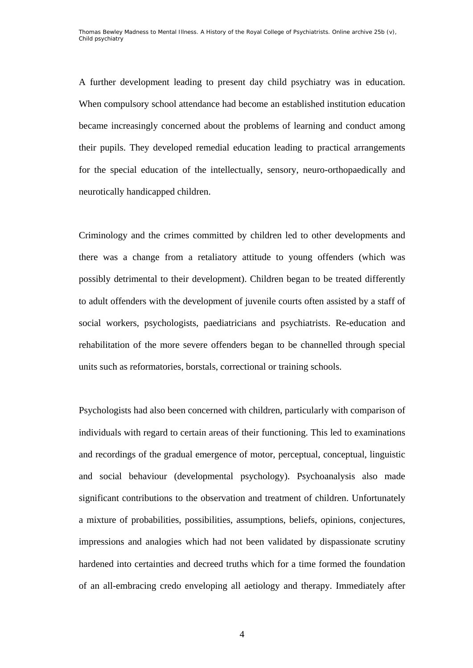A further development leading to present day child psychiatry was in education. When compulsory school attendance had become an established institution education became increasingly concerned about the problems of learning and conduct among their pupils. They developed remedial education leading to practical arrangements for the special education of the intellectually, sensory, neuro-orthopaedically and neurotically handicapped children.

Criminology and the crimes committed by children led to other developments and there was a change from a retaliatory attitude to young offenders (which was possibly detrimental to their development). Children began to be treated differently to adult offenders with the development of juvenile courts often assisted by a staff of social workers, psychologists, paediatricians and psychiatrists. Re-education and rehabilitation of the more severe offenders began to be channelled through special units such as reformatories, borstals, correctional or training schools.

Psychologists had also been concerned with children, particularly with comparison of individuals with regard to certain areas of their functioning. This led to examinations and recordings of the gradual emergence of motor, perceptual, conceptual, linguistic and social behaviour (developmental psychology). Psychoanalysis also made significant contributions to the observation and treatment of children. Unfortunately a mixture of probabilities, possibilities, assumptions, beliefs, opinions, conjectures, impressions and analogies which had not been validated by dispassionate scrutiny hardened into certainties and decreed truths which for a time formed the foundation of an all-embracing credo enveloping all aetiology and therapy. Immediately after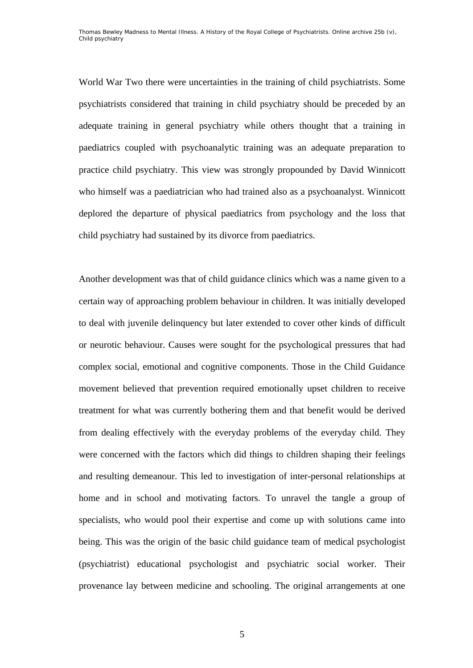World War Two there were uncertainties in the training of child psychiatrists. Some psychiatrists considered that training in child psychiatry should be preceded by an adequate training in general psychiatry while others thought that a training in paediatrics coupled with psychoanalytic training was an adequate preparation to practice child psychiatry. This view was strongly propounded by David Winnicott who himself was a paediatrician who had trained also as a psychoanalyst. Winnicott deplored the departure of physical paediatrics from psychology and the loss that child psychiatry had sustained by its divorce from paediatrics.

Another development was that of child guidance clinics which was a name given to a certain way of approaching problem behaviour in children. It was initially developed to deal with juvenile delinquency but later extended to cover other kinds of difficult or neurotic behaviour. Causes were sought for the psychological pressures that had complex social, emotional and cognitive components. Those in the Child Guidance movement believed that prevention required emotionally upset children to receive treatment for what was currently bothering them and that benefit would be derived from dealing effectively with the everyday problems of the everyday child. They were concerned with the factors which did things to children shaping their feelings and resulting demeanour. This led to investigation of inter-personal relationships at home and in school and motivating factors. To unravel the tangle a group of specialists, who would pool their expertise and come up with solutions came into being. This was the origin of the basic child guidance team of medical psychologist (psychiatrist) educational psychologist and psychiatric social worker. Their provenance lay between medicine and schooling. The original arrangements at one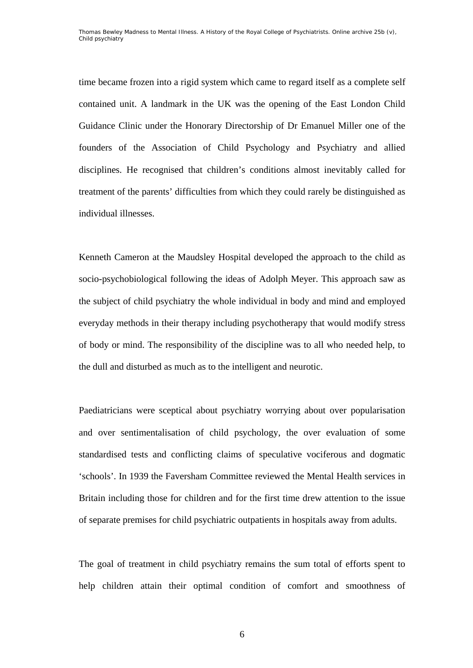time became frozen into a rigid system which came to regard itself as a complete self contained unit. A landmark in the UK was the opening of the East London Child Guidance Clinic under the Honorary Directorship of Dr Emanuel Miller one of the founders of the Association of Child Psychology and Psychiatry and allied disciplines. He recognised that children's conditions almost inevitably called for treatment of the parents' difficulties from which they could rarely be distinguished as individual illnesses.

Kenneth Cameron at the Maudsley Hospital developed the approach to the child as socio-psychobiological following the ideas of Adolph Meyer. This approach saw as the subject of child psychiatry the whole individual in body and mind and employed everyday methods in their therapy including psychotherapy that would modify stress of body or mind. The responsibility of the discipline was to all who needed help, to the dull and disturbed as much as to the intelligent and neurotic.

Paediatricians were sceptical about psychiatry worrying about over popularisation and over sentimentalisation of child psychology, the over evaluation of some standardised tests and conflicting claims of speculative vociferous and dogmatic 'schools'. In 1939 the Faversham Committee reviewed the Mental Health services in Britain including those for children and for the first time drew attention to the issue of separate premises for child psychiatric outpatients in hospitals away from adults.

The goal of treatment in child psychiatry remains the sum total of efforts spent to help children attain their optimal condition of comfort and smoothness of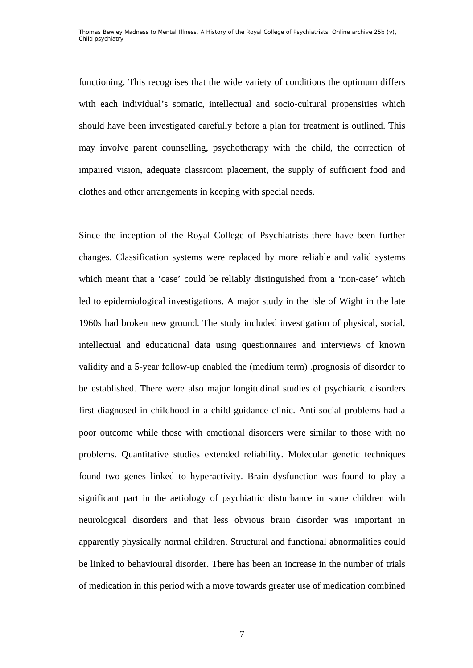functioning. This recognises that the wide variety of conditions the optimum differs with each individual's somatic, intellectual and socio-cultural propensities which should have been investigated carefully before a plan for treatment is outlined. This may involve parent counselling, psychotherapy with the child, the correction of impaired vision, adequate classroom placement, the supply of sufficient food and clothes and other arrangements in keeping with special needs.

Since the inception of the Royal College of Psychiatrists there have been further changes. Classification systems were replaced by more reliable and valid systems which meant that a 'case' could be reliably distinguished from a 'non-case' which led to epidemiological investigations. A major study in the Isle of Wight in the late 1960s had broken new ground. The study included investigation of physical, social, intellectual and educational data using questionnaires and interviews of known validity and a 5-year follow-up enabled the (medium term) .prognosis of disorder to be established. There were also major longitudinal studies of psychiatric disorders first diagnosed in childhood in a child guidance clinic. Anti-social problems had a poor outcome while those with emotional disorders were similar to those with no problems. Quantitative studies extended reliability. Molecular genetic techniques found two genes linked to hyperactivity. Brain dysfunction was found to play a significant part in the aetiology of psychiatric disturbance in some children with neurological disorders and that less obvious brain disorder was important in apparently physically normal children. Structural and functional abnormalities could be linked to behavioural disorder. There has been an increase in the number of trials of medication in this period with a move towards greater use of medication combined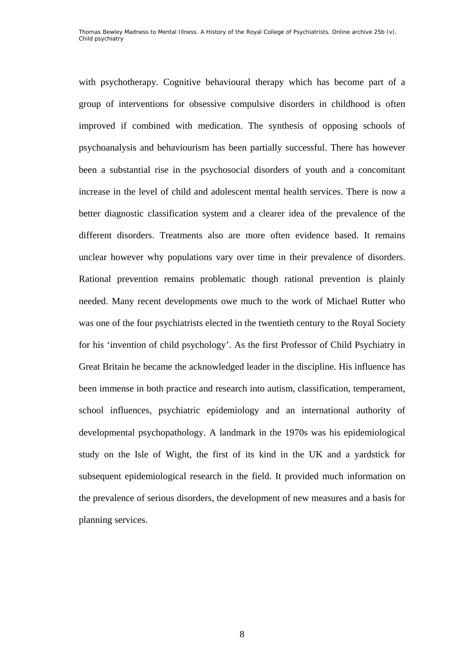with psychotherapy. Cognitive behavioural therapy which has become part of a group of interventions for obsessive compulsive disorders in childhood is often improved if combined with medication. The synthesis of opposing schools of psychoanalysis and behaviourism has been partially successful. There has however been a substantial rise in the psychosocial disorders of youth and a concomitant increase in the level of child and adolescent mental health services. There is now a better diagnostic classification system and a clearer idea of the prevalence of the different disorders. Treatments also are more often evidence based. It remains unclear however why populations vary over time in their prevalence of disorders. Rational prevention remains problematic though rational prevention is plainly needed. Many recent developments owe much to the work of Michael Rutter who was one of the four psychiatrists elected in the twentieth century to the Royal Society for his 'invention of child psychology'. As the first Professor of Child Psychiatry in Great Britain he became the acknowledged leader in the discipline. His influence has been immense in both practice and research into autism, classification, temperament, school influences, psychiatric epidemiology and an international authority of developmental psychopathology. A landmark in the 1970s was his epidemiological study on the Isle of Wight, the first of its kind in the UK and a yardstick for subsequent epidemiological research in the field. It provided much information on the prevalence of serious disorders, the development of new measures and a basis for planning services.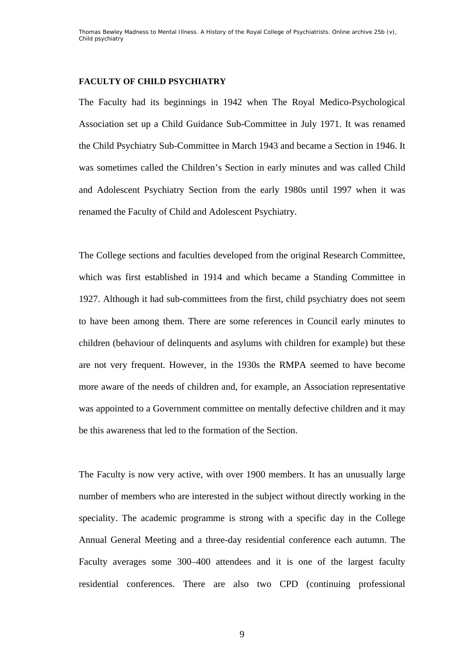## **FACULTY OF CHILD PSYCHIATRY**

The Faculty had its beginnings in 1942 when The Royal Medico-Psychological Association set up a Child Guidance Sub-Committee in July 1971. It was renamed the Child Psychiatry Sub-Committee in March 1943 and became a Section in 1946. It was sometimes called the Children's Section in early minutes and was called Child and Adolescent Psychiatry Section from the early 1980s until 1997 when it was renamed the Faculty of Child and Adolescent Psychiatry.

The College sections and faculties developed from the original Research Committee, which was first established in 1914 and which became a Standing Committee in 1927. Although it had sub-committees from the first, child psychiatry does not seem to have been among them. There are some references in Council early minutes to children (behaviour of delinquents and asylums with children for example) but these are not very frequent. However, in the 1930s the RMPA seemed to have become more aware of the needs of children and, for example, an Association representative was appointed to a Government committee on mentally defective children and it may be this awareness that led to the formation of the Section.

The Faculty is now very active, with over 1900 members. It has an unusually large number of members who are interested in the subject without directly working in the speciality. The academic programme is strong with a specific day in the College Annual General Meeting and a three-day residential conference each autumn. The Faculty averages some 300–400 attendees and it is one of the largest faculty residential conferences. There are also two CPD (continuing professional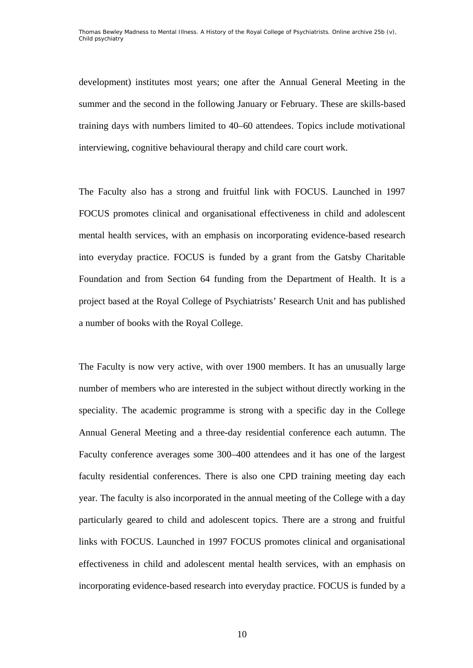development) institutes most years; one after the Annual General Meeting in the summer and the second in the following January or February. These are skills-based training days with numbers limited to 40–60 attendees. Topics include motivational interviewing, cognitive behavioural therapy and child care court work.

The Faculty also has a strong and fruitful link with FOCUS. Launched in 1997 FOCUS promotes clinical and organisational effectiveness in child and adolescent mental health services, with an emphasis on incorporating evidence-based research into everyday practice. FOCUS is funded by a grant from the Gatsby Charitable Foundation and from Section 64 funding from the Department of Health. It is a project based at the Royal College of Psychiatrists' Research Unit and has published a number of books with the Royal College.

The Faculty is now very active, with over 1900 members. It has an unusually large number of members who are interested in the subject without directly working in the speciality. The academic programme is strong with a specific day in the College Annual General Meeting and a three-day residential conference each autumn. The Faculty conference averages some 300–400 attendees and it has one of the largest faculty residential conferences. There is also one CPD training meeting day each year. The faculty is also incorporated in the annual meeting of the College with a day particularly geared to child and adolescent topics. There are a strong and fruitful links with FOCUS. Launched in 1997 FOCUS promotes clinical and organisational effectiveness in child and adolescent mental health services, with an emphasis on incorporating evidence-based research into everyday practice. FOCUS is funded by a